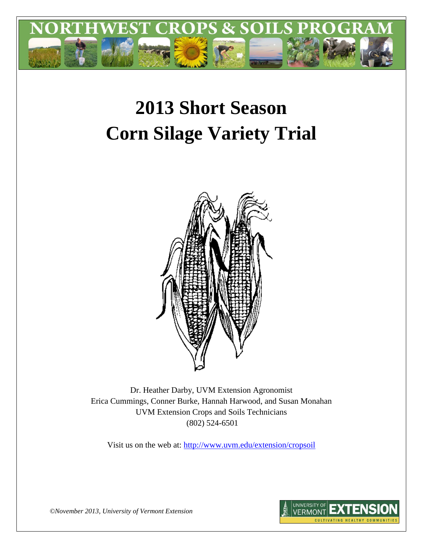

# **2013 Short Season Corn Silage Variety Trial**



Dr. Heather Darby, UVM Extension Agronomist Erica Cummings, Conner Burke, Hannah Harwood, and Susan Monahan UVM Extension Crops and Soils Technicians (802) 524-6501

Visit us on the web at: <http://www.uvm.edu/extension/cropsoil>



*©November 2013, University of Vermont Extension*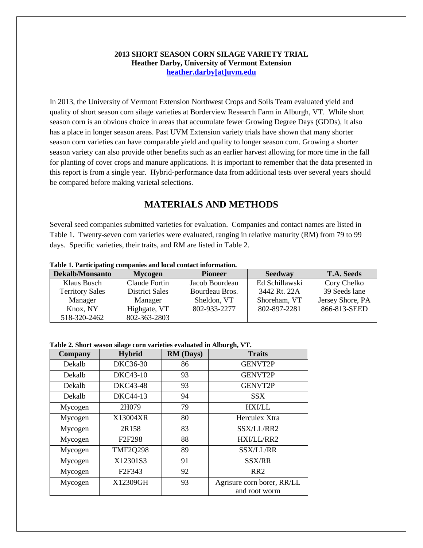### **2013 SHORT SEASON CORN SILAGE VARIETY TRIAL Heather Darby, University of Vermont Extension [heather.darby\[at\]uvm.edu](mailto:heather.darby@uvm.edu?subject=2012%20Short%20Season%20Corn%20Report)**

In 2013, the University of Vermont Extension Northwest Crops and Soils Team evaluated yield and quality of short season corn silage varieties at Borderview Research Farm in Alburgh, VT. While short season corn is an obvious choice in areas that accumulate fewer Growing Degree Days (GDDs), it also has a place in longer season areas. Past UVM Extension variety trials have shown that many shorter season corn varieties can have comparable yield and quality to longer season corn. Growing a shorter season variety can also provide other benefits such as an earlier harvest allowing for more time in the fall for planting of cover crops and manure applications. It is important to remember that the data presented in this report is from a single year. Hybrid-performance data from additional tests over several years should be compared before making varietal selections.

## **MATERIALS AND METHODS**

Several seed companies submitted varieties for evaluation. Companies and contact names are listed in Table 1. Twenty-seven corn varieties were evaluated, ranging in relative maturity (RM) from 79 to 99 days. Specific varieties, their traits, and RM are listed in Table 2.

| rabic refunctionality companies and local contact information. |                       |                |                |                   |
|----------------------------------------------------------------|-----------------------|----------------|----------------|-------------------|
| <b>Dekalb/Monsanto</b>                                         | <b>Mycogen</b>        | <b>Pioneer</b> | <b>Seedway</b> | <b>T.A. Seeds</b> |
| Klaus Busch                                                    | Claude Fortin         | Jacob Bourdeau | Ed Schillawski | Cory Chelko       |
| <b>Territory Sales</b>                                         | <b>District Sales</b> | Bourdeau Bros. | 3442 Rt. 22A   | 39 Seeds lane     |
| Manager                                                        | Manager               | Sheldon, VT    | Shoreham, VT   | Jersey Shore, PA  |
| Knox, NY                                                       | Highgate, VT          | 802-933-2277   | 802-897-2281   | 866-813-SEED      |
| 518-320-2462                                                   | 802-363-2803          |                |                |                   |

#### **Table 1. Participating companies and local contact information.**

#### **Table 2. Short season silage corn varieties evaluated in Alburgh, VT.**

| <b>Company</b> | Hybrid                          | <b>RM</b> (Days) | <b>Traits</b>                               |
|----------------|---------------------------------|------------------|---------------------------------------------|
| Dekalb         | <b>DKC36-30</b>                 | 86               | <b>GENVT2P</b>                              |
| Dekalb         | DKC43-10                        | 93               | <b>GENVT2P</b>                              |
| Dekalb         | <b>DKC43-48</b>                 | 93               | <b>GENVT2P</b>                              |
| Dekalb         | DKC44-13                        | 94               | <b>SSX</b>                                  |
| Mycogen        | 2H079                           | 79               | <b>HXI/LL</b>                               |
| Mycogen        | X13004XR                        | 80               | Herculex Xtra                               |
| Mycogen        | 2R158                           | 83               | SSX/LL/RR2                                  |
| Mycogen        | F <sub>2</sub> F <sub>298</sub> | 88               | HXI/LL/RR2                                  |
| Mycogen        | <b>TMF2Q298</b>                 | 89               | <b>SSX/LL/RR</b>                            |
| Mycogen        | X12301S3                        | 91               | <b>SSX/RR</b>                               |
| Mycogen        | F <sub>2F</sub> 343             | 92               | RR <sub>2</sub>                             |
| Mycogen        | X12309GH                        | 93               | Agrisure corn borer, RR/LL<br>and root worm |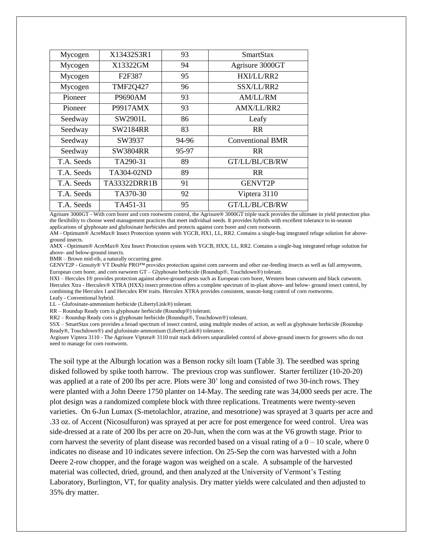| Mycogen    | X13432S3R1                      | 93    | <b>SmartStax</b>        |
|------------|---------------------------------|-------|-------------------------|
| Mycogen    | X13322GM                        | 94    | Agrisure 3000GT         |
| Mycogen    | F <sub>2</sub> F <sub>387</sub> | 95    | HXI/LL/RR2              |
| Mycogen    | <b>TMF2Q427</b>                 | 96    | SSX/LL/RR2              |
| Pioneer    | P9690AM                         | 93    | AM/LL/RM                |
| Pioneer    | P9917AMX                        | 93    | <b>AMX/LL/RR2</b>       |
| Seedway    | SW2901L                         | 86    | Leafy                   |
| Seedway    | <b>SW2184RR</b>                 | 83    | R <sub>R</sub>          |
| Seedway    | SW3937                          | 94-96 | <b>Conventional BMR</b> |
| Seedway    | SW3804RR                        | 95-97 | R <sub>R</sub>          |
| T.A. Seeds | TA290-31                        | 89    | GT/LL/BL/CB/RW          |
| T.A. Seeds | TA304-02ND                      | 89    | R <sub>R</sub>          |
| T.A. Seeds | TA33322DRR1B                    | 91    | <b>GENVT2P</b>          |
| T.A. Seeds | TA370-30                        | 92    | Viptera 3110            |
| T.A. Seeds | TA451-31                        | 95    | GT/LL/BL/CB/RW          |

Agrisure 3000GT - With corn borer and corn rootworm control, the Agrisure® 3000GT triple stack provides the ultimate in yield protection plus the flexibility to choose weed management practices that meet individual needs. It provides hybrids with excellent tolerance to in-season applications of glyphosate and glufosinate herbicides and protects against corn borer and corn rootworm.

AM - Optimum® AcreMax® Insect Protection system with YGCB, HX1, LL, RR2. Contains a single-bag integrated refuge solution for aboveground insects.

AMX - Optimum® AcreMax® Xtra Insect Protection system with YGCB, HXX, LL, RR2. Contains a single-bag integrated refuge solution for above- and below-ground insects.

BMR – Brown mid-rib, a naturally occurring gene.

GENVT2P - Genuity® VT Double PRO™ provides protection against corn earworm and other ear-feeding insects as well as fall armyworm, European corn borer, and corn earworm GT – Glyphosate herbicide (Roundup®, Touchdown®) tolerant.

HXI – Herculex I® provides protection against above-ground pests such as European corn borer, Western bean cutworm and black cutworm. Herculex Xtra - Herculex® XTRA (HXX) insect protection offers a complete spectrum of in-plant above- and below- ground insect control, by combining the Herculex I and Herculex RW traits. Herculex XTRA provides consistent, season-long control of corn rootworms. Leafy - Conventional hybrid.

LL – Glufosinate-ammonium herbicide (LibertyLink®) tolerant.

RR – Roundup Ready corn is glyphosate herbicide (Roundup®) tolerant.

 $RR2 - Roundup$  Ready corn is glyphosate herbicide (Roundup®, Touchdown®) tolerant.

SSX – SmartStax corn provides a broad spectrum of insect control, using multiple modes of action, as well as glyphosate herbicide (Roundup Ready®, Touchdown®) and glufosinate-ammonium (LibertyLink®) tolerance.

Argisure Viptera 3110 - The Agrisure Viptera® 3110 trait stack delivers unparalleled control of above-ground insects for growers who do not need to manage for corn rootworm.

The soil type at the Alburgh location was a Benson rocky silt loam (Table 3). The seedbed was spring disked followed by spike tooth harrow. The previous crop was sunflower. Starter fertilizer (10-20-20) was applied at a rate of 200 lbs per acre. Plots were 30' long and consisted of two 30-inch rows. They were planted with a John Deere 1750 planter on 14-May. The seeding rate was 34,000 seeds per acre. The plot design was a randomized complete block with three replications. Treatments were twenty-seven varieties. On 6-Jun Lumax (S-metolachlor, atrazine, and mesotrione) was sprayed at 3 quarts per acre and .33 oz. of Accent (Nicosulfuron) was sprayed at per acre for post emergence for weed control. Urea was side-dressed at a rate of 200 lbs per acre on 20-Jun, when the corn was at the V6 growth stage. Prior to corn harvest the severity of plant disease was recorded based on a visual rating of  $a\,0 - 10$  scale, where 0 indicates no disease and 10 indicates severe infection. On 25-Sep the corn was harvested with a John Deere 2-row chopper, and the forage wagon was weighed on a scale. A subsample of the harvested material was collected, dried, ground, and then analyzed at the University of Vermont's Testing Laboratory, Burlington, VT, for quality analysis. Dry matter yields were calculated and then adjusted to 35% dry matter.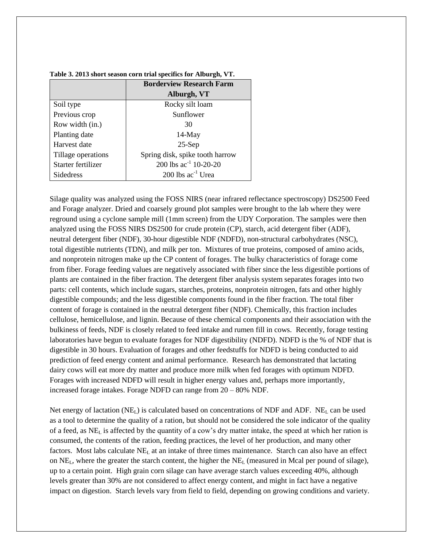|                    | <b>Borderview Research Farm</b> |
|--------------------|---------------------------------|
|                    | Alburgh, VT                     |
| Soil type          | Rocky silt loam                 |
| Previous crop      | Sunflower                       |
| Row width (in.)    | 30                              |
| Planting date      | $14$ -May                       |
| Harvest date       | $25-Sep$                        |
| Tillage operations | Spring disk, spike tooth harrow |
| Starter fertilizer | 200 lbs $ac^{-1}$ 10-20-20      |
| <b>Sidedress</b>   | $200$ lbs ac <sup>-1</sup> Urea |

| Table 3. 2013 short season corn trial specifics for Alburgh, VT. |  |  |
|------------------------------------------------------------------|--|--|
|------------------------------------------------------------------|--|--|

Silage quality was analyzed using the FOSS NIRS (near infrared reflectance spectroscopy) DS2500 Feed and Forage analyzer. Dried and coarsely ground plot samples were brought to the lab where they were reground using a cyclone sample mill (1mm screen) from the UDY Corporation. The samples were then analyzed using the FOSS NIRS DS2500 for crude protein (CP), starch, acid detergent fiber (ADF), neutral detergent fiber (NDF), 30-hour digestible NDF (NDFD), non-structural carbohydrates (NSC), total digestible nutrients (TDN), and milk per ton. Mixtures of true proteins, composed of amino acids, and nonprotein nitrogen make up the CP content of forages. The bulky characteristics of forage come from fiber. Forage feeding values are negatively associated with fiber since the less digestible portions of plants are contained in the fiber fraction. The detergent fiber analysis system separates forages into two parts: cell contents, which include sugars, starches, proteins, nonprotein nitrogen, fats and other highly digestible compounds; and the less digestible components found in the fiber fraction. The total fiber content of forage is contained in the neutral detergent fiber (NDF). Chemically, this fraction includes cellulose, hemicellulose, and lignin. Because of these chemical components and their association with the bulkiness of feeds, NDF is closely related to feed intake and rumen fill in cows. Recently, forage testing laboratories have begun to evaluate forages for NDF digestibility (NDFD). NDFD is the % of NDF that is digestible in 30 hours. Evaluation of forages and other feedstuffs for NDFD is being conducted to aid prediction of feed energy content and animal performance. Research has demonstrated that lactating dairy cows will eat more dry matter and produce more milk when fed forages with optimum NDFD. Forages with increased NDFD will result in higher energy values and, perhaps more importantly, increased forage intakes. Forage NDFD can range from 20 – 80% NDF.

Net energy of lactation ( $NE<sub>L</sub>$ ) is calculated based on concentrations of NDF and ADF. NE<sub>L</sub> can be used as a tool to determine the quality of a ration, but should not be considered the sole indicator of the quality of a feed, as NE<sup>L</sup> is affected by the quantity of a cow's dry matter intake, the speed at which her ration is consumed, the contents of the ration, feeding practices, the level of her production, and many other factors. Most labs calculate  $NE<sub>L</sub>$  at an intake of three times maintenance. Starch can also have an effect on  $NE<sub>L</sub>$ , where the greater the starch content, the higher the  $NE<sub>L</sub>$  (measured in Mcal per pound of silage), up to a certain point. High grain corn silage can have average starch values exceeding 40%, although levels greater than 30% are not considered to affect energy content, and might in fact have a negative impact on digestion. Starch levels vary from field to field, depending on growing conditions and variety.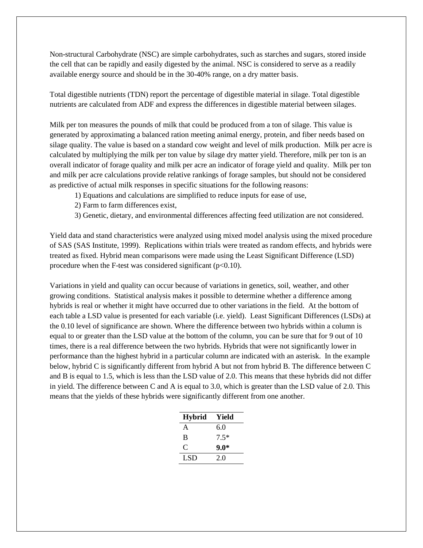Non-structural Carbohydrate (NSC) are simple carbohydrates, such as starches and sugars, stored inside the cell that can be rapidly and easily digested by the animal. NSC is considered to serve as a readily available energy source and should be in the 30-40% range, on a dry matter basis.

Total digestible nutrients (TDN) report the percentage of digestible material in silage. Total digestible nutrients are calculated from ADF and express the differences in digestible material between silages.

Milk per ton measures the pounds of milk that could be produced from a ton of silage. This value is generated by approximating a balanced ration meeting animal energy, protein, and fiber needs based on silage quality. The value is based on a standard cow weight and level of milk production. Milk per acre is calculated by multiplying the milk per ton value by silage dry matter yield. Therefore, milk per ton is an overall indicator of forage quality and milk per acre an indicator of forage yield and quality. Milk per ton and milk per acre calculations provide relative rankings of forage samples, but should not be considered as predictive of actual milk responses in specific situations for the following reasons:

- 1) Equations and calculations are simplified to reduce inputs for ease of use,
- 2) Farm to farm differences exist,
- 3) Genetic, dietary, and environmental differences affecting feed utilization are not considered.

Yield data and stand characteristics were analyzed using mixed model analysis using the mixed procedure of SAS (SAS Institute, 1999). Replications within trials were treated as random effects, and hybrids were treated as fixed. Hybrid mean comparisons were made using the Least Significant Difference (LSD) procedure when the F-test was considered significant  $(p<0.10)$ .

Variations in yield and quality can occur because of variations in genetics, soil, weather, and other growing conditions. Statistical analysis makes it possible to determine whether a difference among hybrids is real or whether it might have occurred due to other variations in the field. At the bottom of each table a LSD value is presented for each variable (i.e. yield). Least Significant Differences (LSDs) at the 0.10 level of significance are shown. Where the difference between two hybrids within a column is equal to or greater than the LSD value at the bottom of the column, you can be sure that for 9 out of 10 times, there is a real difference between the two hybrids. Hybrids that were not significantly lower in performance than the highest hybrid in a particular column are indicated with an asterisk. In the example below, hybrid C is significantly different from hybrid A but not from hybrid B. The difference between C and B is equal to 1.5, which is less than the LSD value of 2.0. This means that these hybrids did not differ in yield. The difference between C and A is equal to 3.0, which is greater than the LSD value of 2.0. This means that the yields of these hybrids were significantly different from one another.

| <b>Hybrid</b> | Yield  |
|---------------|--------|
| A             | 6.0    |
| B             | $7.5*$ |
| C             | $9.0*$ |
| LSD           | 2.0    |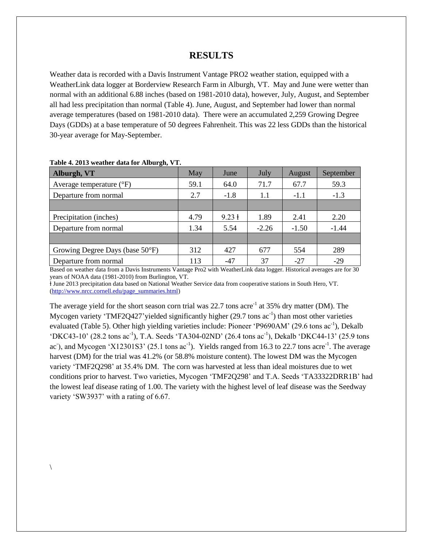## **RESULTS**

Weather data is recorded with a Davis Instrument Vantage PRO2 weather station, equipped with a WeatherLink data logger at Borderview Research Farm in Alburgh, VT. May and June were wetter than normal with an additional 6.88 inches (based on 1981-2010 data), however, July, August, and September all had less precipitation than normal (Table 4). June, August, and September had lower than normal average temperatures (based on 1981-2010 data). There were an accumulated 2,259 Growing Degree Days (GDDs) at a base temperature of 50 degrees Fahrenheit. This was 22 less GDDs than the historical 30-year average for May-September.

| Alburgh, VT                       | May  | June              | July    | August  | September |
|-----------------------------------|------|-------------------|---------|---------|-----------|
| Average temperature $(^{\circ}F)$ | 59.1 | 64.0              | 71.7    | 67.7    | 59.3      |
| Departure from normal             | 2.7  | $-1.8$            | 1.1     | $-1.1$  | $-1.3$    |
|                                   |      |                   |         |         |           |
| Precipitation (inches)            | 4.79 | $9.23 \text{ }$ 1 | 1.89    | 2.41    | 2.20      |
| Departure from normal             | 1.34 | 5.54              | $-2.26$ | $-1.50$ | $-1.44$   |
|                                   |      |                   |         |         |           |
| Growing Degree Days (base 50°F)   | 312  | 427               | 677     | 554     | 289       |
| Departure from normal             | 113  | $-47$             | 37      | $-27$   | $-29$     |

| Table 4. 2013 weather data for Alburgh, VT. |  |  |  |
|---------------------------------------------|--|--|--|
|---------------------------------------------|--|--|--|

 $\backslash$ 

Based on weather data from a Davis Instruments Vantage Pro2 with WeatherLink data logger. Historical averages are for 30 years of NOAA data (1981-2010) from Burlington, VT.

ⱡ June 2013 precipitation data based on National Weather Service data from cooperative stations in South Hero, VT. [\(http://www.nrcc.cornell.edu/page\\_summaries.html\)](http://www.nrcc.cornell.edu/page_summaries.html)

The average yield for the short season corn trial was 22.7 tons acre<sup>-1</sup> at 35% dry matter (DM). The Mycogen variety 'TMF2Q427' yielded significantly higher (29.7 tons ac<sup>-1</sup>) than most other varieties evaluated (Table 5). Other high yielding varieties include: Pioneer 'P9690AM' (29.6 tons ac<sup>-1</sup>), Dekalb 'DKC43-10' (28.2 tons ac<sup>-1</sup>), T.A. Seeds 'TA304-02ND' (26.4 tons ac<sup>-1</sup>), Dekalb 'DKC44-13' (25.9 tons ac), and Mycogen 'X12301S3' (25.1 tons  $ac^{-1}$ ). Yields ranged from 16.3 to 22.7 tons  $acre^{-1}$ . The average harvest (DM) for the trial was 41.2% (or 58.8% moisture content). The lowest DM was the Mycogen variety 'TMF2Q298' at 35.4% DM. The corn was harvested at less than ideal moistures due to wet conditions prior to harvest. Two varieties, Mycogen 'TMF2Q298' and T.A. Seeds 'TA33322DRR1B' had the lowest leaf disease rating of 1.00. The variety with the highest level of leaf disease was the Seedway variety 'SW3937' with a rating of 6.67.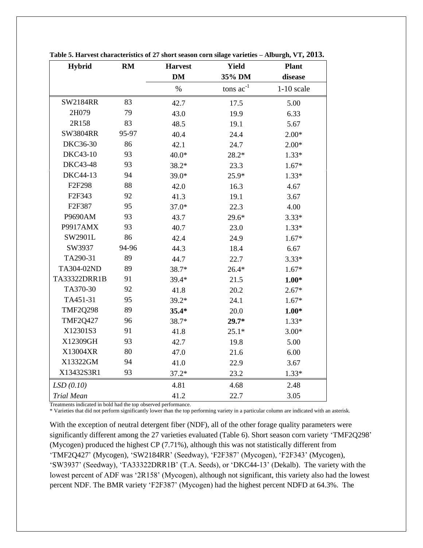| <b>Hybrid</b>       | RM    | <b>Harvest</b> | <b>Yield</b>   | <b>Plant</b> |
|---------------------|-------|----------------|----------------|--------------|
|                     |       | DM             | 35% DM         | disease      |
|                     |       | $\%$           | tons $ac^{-1}$ | $1-10$ scale |
| <b>SW2184RR</b>     | 83    | 42.7           | 17.5           | 5.00         |
| 2H079               | 79    | 43.0           | 19.9           | 6.33         |
| 2R158               | 83    | 48.5           | 19.1           | 5.67         |
| <b>SW3804RR</b>     | 95-97 | 40.4           | 24.4           | $2.00*$      |
| <b>DKC36-30</b>     | 86    | 42.1           | 24.7           | $2.00*$      |
| DKC43-10            | 93    | $40.0*$        | $28.2*$        | $1.33*$      |
| <b>DKC43-48</b>     | 93    | 38.2*          | 23.3           | $1.67*$      |
| DKC44-13            | 94    | 39.0*          | 25.9*          | $1.33*$      |
| F2F298              | 88    | 42.0           | 16.3           | 4.67         |
| F <sub>2F</sub> 343 | 92    | 41.3           | 19.1           | 3.67         |
| F2F387              | 95    | $37.0*$        | 22.3           | 4.00         |
| P9690AM             | 93    | 43.7           | $29.6*$        | $3.33*$      |
| P9917AMX            | 93    | 40.7           | 23.0           | $1.33*$      |
| SW2901L             | 86    | 42.4           | 24.9           | $1.67*$      |
| SW3937              | 94-96 | 44.3           | 18.4           | 6.67         |
| TA290-31            | 89    | 44.7           | 22.7           | $3.33*$      |
| TA304-02ND          | 89    | 38.7*          | $26.4*$        | $1.67*$      |
| TA33322DRR1B        | 91    | 39.4*          | 21.5           | $1.00*$      |
| TA370-30            | 92    | 41.8           | 20.2           | $2.67*$      |
| TA451-31            | 95    | $39.2*$        | 24.1           | $1.67*$      |
| <b>TMF2Q298</b>     | 89    | $35.4*$        | 20.0           | $1.00*$      |
| <b>TMF2Q427</b>     | 96    | 38.7*          | $29.7*$        | $1.33*$      |
| X12301S3            | 91    | 41.8           | $25.1*$        | $3.00*$      |
| X12309GH            | 93    | 42.7           | 19.8           | 5.00         |
| X13004XR            | 80    | 47.0           | 21.6           | 6.00         |
| X13322GM            | 94    | 41.0           | 22.9           | 3.67         |
| X13432S3R1          | 93    | $37.2*$        | 23.2           | $1.33*$      |
| LSD(0.10)           |       | 4.81           | 4.68           | 2.48         |
| <b>Trial Mean</b>   |       | 41.2           | 22.7           | 3.05         |

**Table 5. Harvest characteristics of 27 short season corn silage varieties – Alburgh, VT, 2013.**

Treatments indicated in bold had the top observed performance.

\* Varieties that did not perform significantly lower than the top performing variety in a particular column are indicated with an asterisk.

With the exception of neutral detergent fiber (NDF), all of the other forage quality parameters were significantly different among the 27 varieties evaluated (Table 6). Short season corn variety 'TMF2Q298' (Mycogen) produced the highest CP (7.71%), although this was not statistically different from 'TMF2Q427' (Mycogen), 'SW2184RR' (Seedway), 'F2F387' (Mycogen), 'F2F343' (Mycogen), 'SW3937' (Seedway), 'TA33322DRR1B' (T.A. Seeds), or 'DKC44-13' (Dekalb). The variety with the lowest percent of ADF was '2R158' (Mycogen), although not significant, this variety also had the lowest percent NDF. The BMR variety 'F2F387' (Mycogen) had the highest percent NDFD at 64.3%. The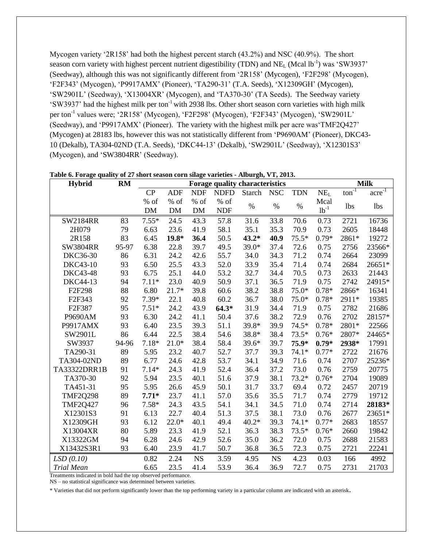Mycogen variety '2R158' had both the highest percent starch (43.2%) and NSC (40.9%). The short season corn variety with highest percent nutrient digestibility (TDN) and NE<sub>L</sub> (Mcal lb<sup>-1</sup>) was 'SW3937' (Seedway), although this was not significantly different from '2R158' (Mycogen), 'F2F298' (Mycogen), 'F2F343' (Mycogen), 'P9917AMX' (Pioneer), 'TA290-31' (T.A. Seeds), 'X12309GH' (Mycogen), 'SW2901L' (Seedway), 'X13004XR' (Mycogen), and 'TA370-30' (TA Seeds). The Seedway variety 'SW3937' had the highest milk per ton-1 with 2938 lbs. Other short season corn varieties with high milk per ton<sup>-1</sup> values were; '2R158' (Mycogen), 'F2F298' (Mycogen), 'F2F343' (Mycogen), 'SW2901L' (Seedway), and 'P9917AMX' (Pioneer). The variety with the highest milk per acre was'TMF2Q427' (Mycogen) at 28183 lbs, however this was not statistically different from 'P9690AM' (Pioneer), DKC43- 10 (Dekalb), TA304-02ND (T.A. Seeds), 'DKC44-13' (Dekalb), 'SW2901L' (Seedway), 'X12301S3' (Mycogen), and 'SW3804RR' (Seedway).

| <b>Hybrid</b>     | <b>RM</b> | Forage quality characteristics |            |            |             |         |            | <b>Milk</b> |                 |                              |                              |
|-------------------|-----------|--------------------------------|------------|------------|-------------|---------|------------|-------------|-----------------|------------------------------|------------------------------|
|                   |           | CP                             | <b>ADF</b> | <b>NDF</b> | <b>NDFD</b> | Starch  | <b>NSC</b> | <b>TDN</b>  | NE <sub>L</sub> | $\overline{\text{ton}^{-1}}$ | $\arctan \sqrt{\frac{1}{2}}$ |
|                   |           | % of                           | % of       | % of       | $%$ of      | $\%$    | $\%$       | $\%$        | Mcal            |                              |                              |
|                   |           | $DM$                           | DM         | <b>DM</b>  | <b>NDF</b>  |         |            |             | $1b^{-1}$       | <b>lbs</b>                   | <b>lbs</b>                   |
| <b>SW2184RR</b>   | 83        | $7.55*$                        | 24.5       | 43.3       | 57.8        | 31.6    | 33.8       | 70.6        | 0.73            | 2721                         | 16736                        |
| 2H079             | 79        | 6.63                           | 23.6       | 41.9       | 58.1        | 35.1    | 35.3       | 70.9        | 0.73            | 2605                         | 18448                        |
| 2R158             | 83        | 6.45                           | $19.8*$    | 36.4       | 50.5        | $43.2*$ | 40.9       | $75.5*$     | $0.79*$         | 2861*                        | 19272                        |
| <b>SW3804RR</b>   | 95-97     | 6.38                           | 22.8       | 39.7       | 49.5        | 39.0*   | 37.4       | 72.6        | 0.75            | 2756                         | 23566*                       |
| DKC36-30          | 86        | 6.31                           | 24.2       | 42.6       | 55.7        | 34.0    | 34.3       | 71.2        | 0.74            | 2664                         | 23099                        |
| DKC43-10          | 93        | 6.50                           | 25.5       | 43.3       | 52.0        | 33.9    | 35.4       | 71.4        | 0.74            | 2684                         | 26651*                       |
| DKC43-48          | 93        | 6.75                           | 25.1       | 44.0       | 53.2        | 32.7    | 34.4       | 70.5        | 0.73            | 2633                         | 21443                        |
| DKC44-13          | 94        | $7.11*$                        | 23.0       | 40.9       | 50.9        | 37.1    | 36.5       | 71.9        | 0.75            | 2742                         | 24915*                       |
| F2F298            | 88        | 6.80                           | $21.7*$    | 39.8       | 60.6        | 38.2    | 38.8       | 75.0*       | $0.78*$         | 2866*                        | 16341                        |
| F2F343            | 92        | $7.39*$                        | 22.1       | 40.8       | 60.2        | 36.7    | 38.0       | $75.0*$     | $0.78*$         | 2911*                        | 19385                        |
| F2F387            | 95        | $7.51*$                        | 24.2       | 43.9       | $64.3*$     | 31.9    | 34.4       | 71.9        | 0.75            | 2782                         | 21686                        |
| P9690AM           | 93        | 6.30                           | 24.2       | 41.1       | 50.4        | 37.6    | 38.2       | 72.9        | 0.76            | 2702                         | 28157*                       |
| P9917AMX          | 93        | 6.40                           | 23.5       | 39.3       | 51.1        | 39.8*   | 39.9       | 74.5*       | $0.78*$         | 2801*                        | 22566                        |
| SW2901L           | 86        | 6.44                           | 22.5       | 38.4       | 54.6        | 38.8*   | 38.4       | $73.5*$     | $0.76*$         | 2807*                        | 24465*                       |
| SW3937            | 94-96     | $7.18*$                        | $21.0*$    | 38.4       | 58.4        | $39.6*$ | 39.7       | 75.9*       | $0.79*$         | 2938*                        | 17991                        |
| TA290-31          | 89        | 5.95                           | 23.2       | 40.7       | 52.7        | 37.7    | 39.3       | $74.1*$     | $0.77*$         | 2722                         | 21676                        |
| TA304-02ND        | 89        | 6.77                           | 24.6       | 42.8       | 53.7        | 34.1    | 34.9       | 71.6        | 0.74            | 2707                         | 25236*                       |
| TA33322DRR1B      | 91        | $7.14*$                        | 24.3       | 41.9       | 52.4        | 36.4    | 37.2       | 73.0        | 0.76            | 2759                         | 20775                        |
| TA370-30          | 92        | 5.94                           | 23.5       | 40.1       | 51.6        | 37.9    | 38.1       | $73.2*$     | $0.76*$         | 2704                         | 19089                        |
| TA451-31          | 95        | 5.95                           | 26.6       | 45.9       | 50.1        | 31.7    | 33.7       | 69.4        | 0.72            | 2457                         | 20719                        |
| <b>TMF2Q298</b>   | 89        | $7.71*$                        | 23.7       | 41.1       | 57.0        | 35.6    | 35.5       | 71.7        | 0.74            | 2779                         | 19712                        |
| <b>TMF2Q427</b>   | 96        | $7.58*$                        | 24.3       | 43.5       | 54.1        | 34.1    | 34.5       | 71.0        | 0.74            | 2714                         | 28183*                       |
| X12301S3          | 91        | 6.13                           | 22.7       | 40.4       | 51.3        | 37.5    | 38.1       | 73.0        | 0.76            | 2677                         | 23651*                       |
| X12309GH          | 93        | 6.12                           | $22.0*$    | 40.1       | 49.4        | $40.2*$ | 39.3       | $74.1*$     | $0.77*$         | 2683                         | 18557                        |
| X13004XR          | 80        | 5.89                           | 23.3       | 41.9       | 52.1        | 36.3    | 38.3       | 73.5*       | $0.76*$         | 2660                         | 19842                        |
| X13322GM          | 94        | 6.28                           | 24.6       | 42.9       | 52.6        | 35.0    | 36.2       | 72.0        | 0.75            | 2688                         | 21583                        |
| X13432S3R1        | 93        | 6.40                           | 23.9       | 41.7       | 50.7        | 36.8    | 36.5       | 72.3        | 0.75            | 2721                         | 22241                        |
| LSD(0.10)         |           | 0.82                           | 2.24       | <b>NS</b>  | 3.59        | 4.95    | <b>NS</b>  | 4.23        | 0.03            | 166                          | 4992                         |
| <b>Trial Mean</b> |           | 6.65                           | 23.5       | 41.4       | 53.9        | 36.4    | 36.9       | 72.7        | 0.75            | 2731                         | 21703                        |

**Table 6. Forage quality of 27 short season corn silage varieties - Alburgh, VT, 2013.**

Treatments indicated in bold had the top observed performance.

NS – no statistical significance was determined between varieties.

\* Varieties that did not perform significantly lower than the top performing variety in a particular column are indicated with an asterisk.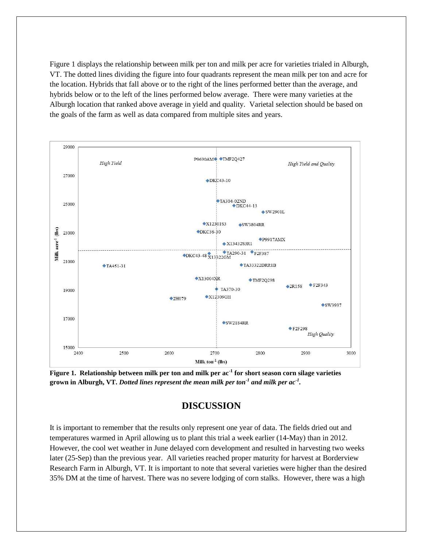Figure 1 displays the relationship between milk per ton and milk per acre for varieties trialed in Alburgh, VT. The dotted lines dividing the figure into four quadrants represent the mean milk per ton and acre for the location. Hybrids that fall above or to the right of the lines performed better than the average, and hybrids below or to the left of the lines performed below average. There were many varieties at the Alburgh location that ranked above average in yield and quality. Varietal selection should be based on the goals of the farm as well as data compared from multiple sites and years.



**Figure 1. Relationship between milk per ton and milk per ac-1 for short season corn silage varieties grown in Alburgh, VT.** *Dotted lines represent the mean milk per ton-1 and milk per ac-1 .*

## **DISCUSSION**

It is important to remember that the results only represent one year of data. The fields dried out and temperatures warmed in April allowing us to plant this trial a week earlier (14-May) than in 2012. However, the cool wet weather in June delayed corn development and resulted in harvesting two weeks later (25-Sep) than the previous year. All varieties reached proper maturity for harvest at Borderview Research Farm in Alburgh, VT. It is important to note that several varieties were higher than the desired 35% DM at the time of harvest. There was no severe lodging of corn stalks. However, there was a high